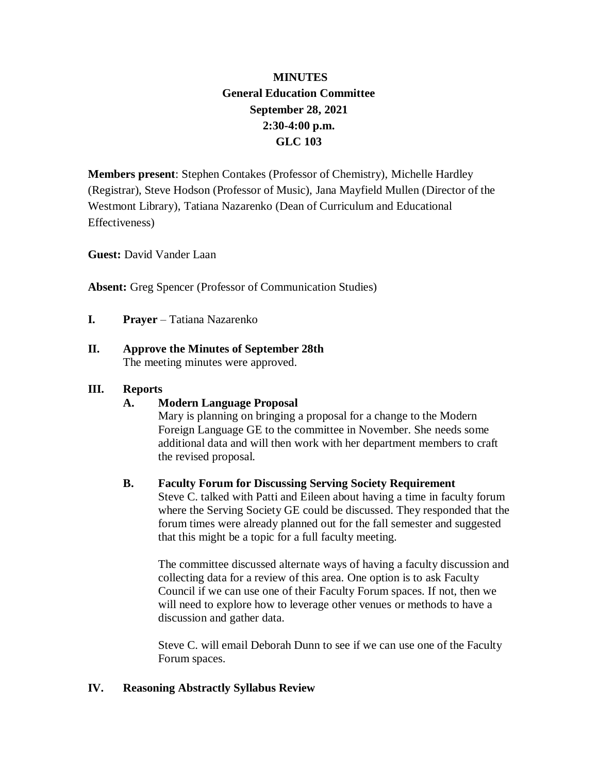# **MINUTES General Education Committee September 28, 2021 2:30-4:00 p.m. GLC 103**

**Members present**: Stephen Contakes (Professor of Chemistry), Michelle Hardley (Registrar), Steve Hodson (Professor of Music), Jana Mayfield Mullen (Director of the Westmont Library), Tatiana Nazarenko (Dean of Curriculum and Educational Effectiveness)

**Guest:** David Vander Laan

**Absent:** Greg Spencer (Professor of Communication Studies)

- **I. Prayer** Tatiana Nazarenko
- **II. Approve the Minutes of September 28th** The meeting minutes were approved.

### **III. Reports**

### **A. Modern Language Proposal**

Mary is planning on bringing a proposal for a change to the Modern Foreign Language GE to the committee in November. She needs some additional data and will then work with her department members to craft the revised proposal.

### **B. Faculty Forum for Discussing Serving Society Requirement**

Steve C. talked with Patti and Eileen about having a time in faculty forum where the Serving Society GE could be discussed. They responded that the forum times were already planned out for the fall semester and suggested that this might be a topic for a full faculty meeting.

The committee discussed alternate ways of having a faculty discussion and collecting data for a review of this area. One option is to ask Faculty Council if we can use one of their Faculty Forum spaces. If not, then we will need to explore how to leverage other venues or methods to have a discussion and gather data.

Steve C. will email Deborah Dunn to see if we can use one of the Faculty Forum spaces.

## **IV. Reasoning Abstractly Syllabus Review**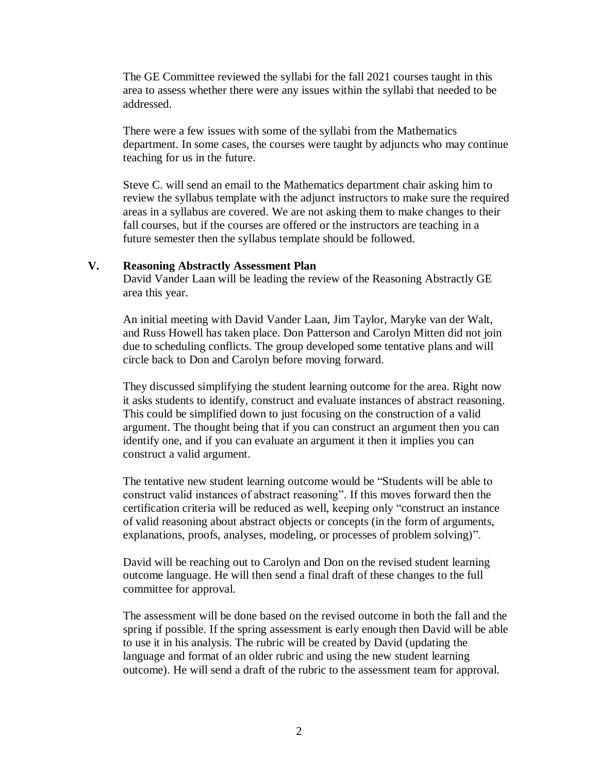The GE Committee reviewed the syllabi for the fall 2021 courses taught in this area to assess whether there were any issues within the syllabi that needed to be addressed.

There were a few issues with some of the syllabi from the Mathematics department. In some cases, the courses were taught by adjuncts who may continue teaching for us in the future.

Steve C. will send an email to the Mathematics department chair asking him to review the syllabus template with the adjunct instructors to make sure the required areas in a syllabus are covered. We are not asking them to make changes to their fall courses, but if the courses are offered or the instructors are teaching in a future semester then the syllabus template should be followed.

#### **V. Reasoning Abstractly Assessment Plan**

David Vander Laan will be leading the review of the Reasoning Abstractly GE area this year.

An initial meeting with David Vander Laan, Jim Taylor, Maryke van der Walt, and Russ Howell has taken place. Don Patterson and Carolyn Mitten did not join due to scheduling conflicts. The group developed some tentative plans and will circle back to Don and Carolyn before moving forward.

They discussed simplifying the student learning outcome for the area. Right now it asks students to identify, construct and evaluate instances of abstract reasoning. This could be simplified down to just focusing on the construction of a valid argument. The thought being that if you can construct an argument then you can identify one, and if you can evaluate an argument it then it implies you can construct a valid argument.

The tentative new student learning outcome would be "Students will be able to construct valid instances of abstract reasoning". If this moves forward then the certification criteria will be reduced as well, keeping only "construct an instance of valid reasoning about abstract objects or concepts (in the form of arguments, explanations, proofs, analyses, modeling, or processes of problem solving)".

David will be reaching out to Carolyn and Don on the revised student learning outcome language. He will then send a final draft of these changes to the full committee for approval.

The assessment will be done based on the revised outcome in both the fall and the spring if possible. If the spring assessment is early enough then David will be able to use it in his analysis. The rubric will be created by David (updating the language and format of an older rubric and using the new student learning outcome). He will send a draft of the rubric to the assessment team for approval.